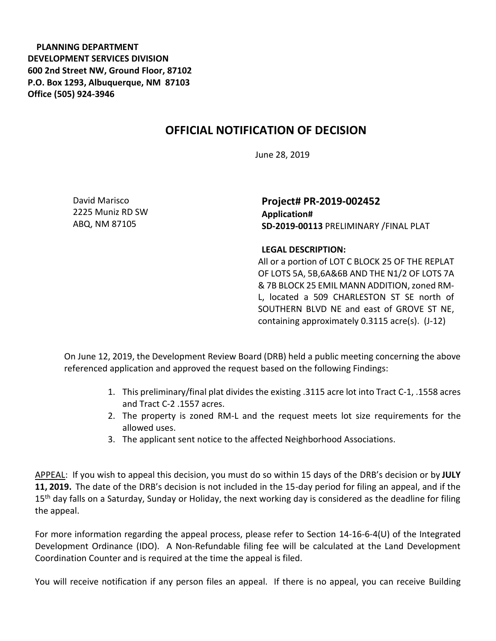**PLANNING DEPARTMENT DEVELOPMENT SERVICES DIVISION 600 2nd Street NW, Ground Floor, 87102 P.O. Box 1293, Albuquerque, NM 87103 Office (505) 924-3946** 

## **OFFICIAL NOTIFICATION OF DECISION**

June 28, 2019

David Marisco 2225 Muniz RD SW ABQ, NM 87105

**Project# PR-2019-002452 Application# SD-2019-00113** PRELIMINARY /FINAL PLAT

## **LEGAL DESCRIPTION:**

All or a portion of LOT C BLOCK 25 OF THE REPLAT OF LOTS 5A, 5B,6A&6B AND THE N1/2 OF LOTS 7A & 7B BLOCK 25 EMIL MANN ADDITION,zoned RM-L, located a 509 CHARLESTON ST SE north of SOUTHERN BLVD NE and east of GROVE ST NE, containing approximately 0.3115 acre(s). (J-12)

On June 12, 2019, the Development Review Board (DRB) held a public meeting concerning the above referenced application and approved the request based on the following Findings:

- 1. This preliminary/final plat divides the existing .3115 acre lot into Tract C-1, .1558 acres and Tract C-2 .1557 acres.
- 2. The property is zoned RM-L and the request meets lot size requirements for the allowed uses.
- 3. The applicant sent notice to the affected Neighborhood Associations.

APPEAL: If you wish to appeal this decision, you must do so within 15 days of the DRB's decision or by **JULY 11, 2019.** The date of the DRB's decision is not included in the 15-day period for filing an appeal, and if the 15<sup>th</sup> day falls on a Saturday, Sunday or Holiday, the next working day is considered as the deadline for filing the appeal.

For more information regarding the appeal process, please refer to Section 14-16-6-4(U) of the Integrated Development Ordinance (IDO). A Non-Refundable filing fee will be calculated at the Land Development Coordination Counter and is required at the time the appeal is filed.

You will receive notification if any person files an appeal. If there is no appeal, you can receive Building